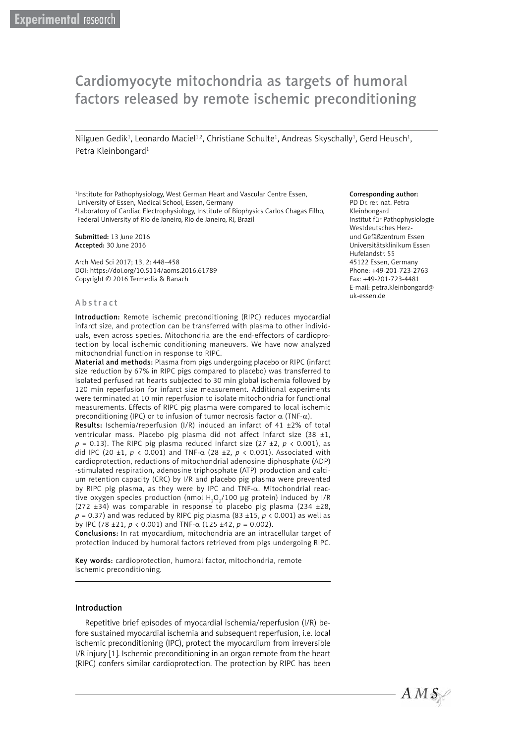# Cardiomyocyte mitochondria as targets of humoral factors released by remote ischemic preconditioning

Nilguen Gedik<sup>1</sup>, Leonardo Maciel<sup>1,2</sup>, Christiane Schulte<sup>1</sup>, Andreas Skyschally<sup>1</sup>, Gerd Heusch<sup>1</sup>, Petra Kleinbongard<sup>1</sup>

<sup>1</sup>Institute for Pathophysiology, West German Heart and Vascular Centre Essen, University of Essen, Medical School, Essen, Germany

2 Laboratory of Cardiac Electrophysiology, Institute of Biophysics Carlos Chagas Filho, Federal University of Rio de Janeiro, Rio de Janeiro, RJ, Brazil

Submitted: 13 June 2016 Accepted: 30 June 2016

Arch Med Sci 2017; 13, 2: 448–458 DOI: https://doi.org/10.5114/aoms.2016.61789 Copyright © 2016 Termedia & Banach

#### **A** b s t r a c t

Introduction: Remote ischemic preconditioning (RIPC) reduces myocardial infarct size, and protection can be transferred with plasma to other individuals, even across species. Mitochondria are the end-effectors of cardioprotection by local ischemic conditioning maneuvers. We have now analyzed mitochondrial function in response to RIPC.

Material and methods: Plasma from pigs undergoing placebo or RIPC (infarct size reduction by 67% in RIPC pigs compared to placebo) was transferred to isolated perfused rat hearts subjected to 30 min global ischemia followed by 120 min reperfusion for infarct size measurement. Additional experiments were terminated at 10 min reperfusion to isolate mitochondria for functional measurements. Effects of RIPC pig plasma were compared to local ischemic preconditioning (IPC) or to infusion of tumor necrosis factor  $\alpha$  (TNF- $\alpha$ ).

Results: Ischemia/reperfusion (I/R) induced an infarct of 41 ±2% of total ventricular mass. Placebo pig plasma did not affect infarct size (38 ±1,  $p = 0.13$ ). The RIPC pig plasma reduced infarct size (27 ±2,  $p \lt 0.001$ ), as did IPC (20 ±1, *p* < 0.001) and TNF-α (28 ±2, *p* < 0.001). Associated with cardioprotection, reductions of mitochondrial adenosine diphosphate (ADP) -stimulated respiration, adenosine triphosphate (ATP) production and calcium retention capacity (CRC) by I/R and placebo pig plasma were prevented by RIPC pig plasma, as they were by IPC and TNF- $\alpha$ . Mitochondrial reactive oxygen species production (nmol  $\rm H_2O_2/100$   $\mu$ g protein) induced by I/R (272  $\pm$ 34) was comparable in response to placebo pig plasma (234  $\pm$ 28,  $p = 0.37$ ) and was reduced by RIPC pig plasma (83 ±15,  $p < 0.001$ ) as well as by IPC (78 ±21,  $p$  < 0.001) and TNF- $\alpha$  (125 ±42,  $p$  = 0.002).

Conclusions: In rat myocardium, mitochondria are an intracellular target of protection induced by humoral factors retrieved from pigs undergoing RIPC.

Key words: cardioprotection, humoral factor, mitochondria, remote ischemic preconditioning.

#### Introduction

Repetitive brief episodes of myocardial ischemia/reperfusion (I/R) before sustained myocardial ischemia and subsequent reperfusion, i.e. local ischemic preconditioning (IPC), protect the myocardium from irreversible I/R injury [1]. Ischemic preconditioning in an organ remote from the heart (RIPC) confers similar cardioprotection. The protection by RIPC has been

#### Corresponding author:

PD Dr. rer. nat. Petra Kleinbongard Institut für Pathophysiologie Westdeutsches Herzund Gefäßzentrum Essen Universitätsklinikum Essen Hufelandstr. 55 45122 Essen, Germany Phone: +49-201-723-2763 Fax: +49-201-723-4481 E-mail: [petra.kleinbongard@](mailto:petra.kleinbongard@uk-essen.de) [uk-essen.de](mailto:petra.kleinbongard@uk-essen.de)

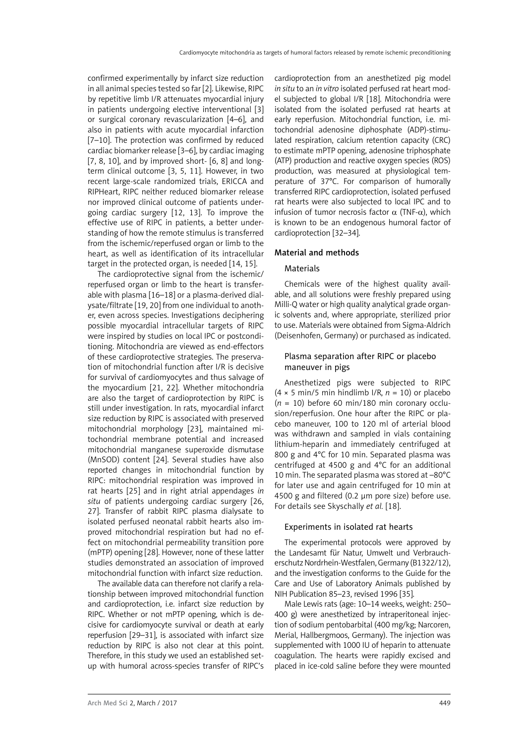confirmed experimentally by infarct size reduction in all animal species tested so far [2]. Likewise, RIPC by repetitive limb I/R attenuates myocardial injury in patients undergoing elective interventional [3] or surgical coronary revascularization [4–6], and also in patients with acute myocardial infarction [7–10]. The protection was confirmed by reduced cardiac biomarker release [3–6], by cardiac imaging  $[7, 8, 10]$ , and by improved short-  $[6, 8]$  and longterm clinical outcome [3, 5, 11]. However, in two recent large-scale randomized trials, ERICCA and RIPHeart, RIPC neither reduced biomarker release nor improved clinical outcome of patients undergoing cardiac surgery [12, 13]. To improve the effective use of RIPC in patients, a better understanding of how the remote stimulus is transferred from the ischemic/reperfused organ or limb to the heart, as well as identification of its intracellular target in the protected organ, is needed [14, 15].

The cardioprotective signal from the ischemic/ reperfused organ or limb to the heart is transferable with plasma [16–18] or a plasma-derived dialysate/filtrate [19, 20] from one individual to another, even across species. Investigations deciphering possible myocardial intracellular targets of RIPC were inspired by studies on local IPC or postconditioning. Mitochondria are viewed as end-effectors of these cardioprotective strategies. The preservation of mitochondrial function after I/R is decisive for survival of cardiomyocytes and thus salvage of the myocardium [21, 22]. Whether mitochondria are also the target of cardioprotection by RIPC is still under investigation. In rats, myocardial infarct size reduction by RIPC is associated with preserved mitochondrial morphology [23], maintained mitochondrial membrane potential and increased mitochondrial manganese superoxide dismutase (MnSOD) content [24]. Several studies have also reported changes in mitochondrial function by RIPC: mitochondrial respiration was improved in rat hearts [25] and in right atrial appendages *in situ* of patients undergoing cardiac surgery [26, 27]. Transfer of rabbit RIPC plasma dialysate to isolated perfused neonatal rabbit hearts also improved mitochondrial respiration but had no effect on mitochondrial permeability transition pore (mPTP) opening [28]. However, none of these latter studies demonstrated an association of improved mitochondrial function with infarct size reduction.

The available data can therefore not clarify a relationship between improved mitochondrial function and cardioprotection, i.e. infarct size reduction by RIPC. Whether or not mPTP opening, which is decisive for cardiomyocyte survival or death at early reperfusion [29–31], is associated with infarct size reduction by RIPC is also not clear at this point. Therefore, in this study we used an established setup with humoral across-species transfer of RIPC's cardioprotection from an anesthetized pig model *in situ* to an *in vitro* isolated perfused rat heart model subjected to global I/R [18]. Mitochondria were isolated from the isolated perfused rat hearts at early reperfusion. Mitochondrial function, i.e. mitochondrial adenosine diphosphate (ADP)-stimulated respiration, calcium retention capacity (CRC) to estimate mPTP opening, adenosine triphosphate (ATP) production and reactive oxygen species (ROS) production, was measured at physiological temperature of 37°C. For comparison of humorally transferred RIPC cardioprotection, isolated perfused rat hearts were also subjected to local IPC and to infusion of tumor necrosis factor  $\alpha$  (TNF-α), which is known to be an endogenous humoral factor of cardioprotection [32–34].

#### Material and methods

## **Materials**

Chemicals were of the highest quality available, and all solutions were freshly prepared using Milli-Q water or high quality analytical grade organic solvents and, where appropriate, sterilized prior to use. Materials were obtained from Sigma-Aldrich (Deisenhofen, Germany) or purchased as indicated.

## Plasma separation after RIPC or placebo maneuver in pigs

Anesthetized pigs were subjected to RIPC  $(4 \times 5 \text{ min/5 min}$  hindlimb  $1/R$ ,  $n = 10$ ) or placebo (*n* = 10) before 60 min/180 min coronary occlusion/reperfusion. One hour after the RIPC or placebo maneuver, 100 to 120 ml of arterial blood was withdrawn and sampled in vials containing lithium-heparin and immediately centrifuged at 800 g and 4°C for 10 min. Separated plasma was centrifuged at 4500 g and 4°C for an additional 10 min. The separated plasma was stored at –80°C for later use and again centrifuged for 10 min at 4500 g and filtered (0.2 µm pore size) before use. For details see Skyschally *et al.* [18].

#### Experiments in isolated rat hearts

The experimental protocols were approved by the Landesamt für Natur, Umwelt und Verbraucherschutz Nordrhein-Westfalen, Germany (B1322/12), and the investigation conforms to the Guide for the Care and Use of Laboratory Animals published by NIH Publication 85–23, revised 1996 [35].

Male Lewis rats (age: 10–14 weeks, weight: 250– 400 g) were anesthetized by intraperitoneal injection of sodium pentobarbital (400 mg/kg; Narcoren, Merial, Hallbergmoos, Germany). The injection was supplemented with 1000 IU of heparin to attenuate coagulation. The hearts were rapidly excised and placed in ice-cold saline before they were mounted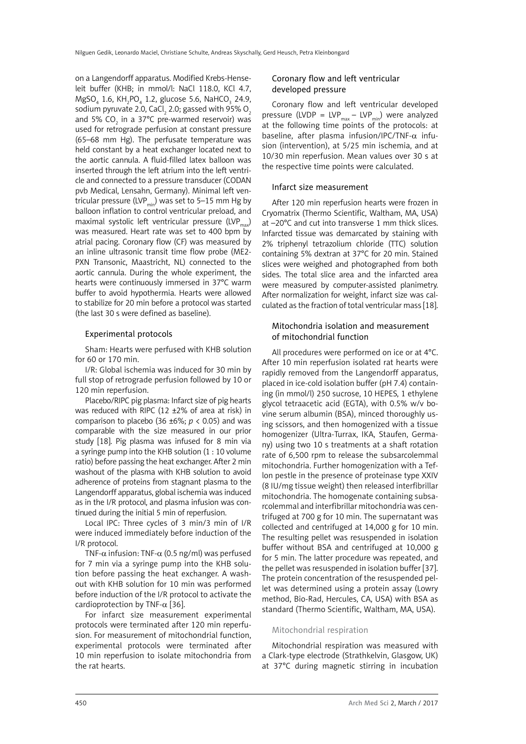on a Langendorff apparatus. Modified Krebs-Henseleit buffer (KHB; in mmol/l: NaCl 118.0, KCl 4.7,  $MgSO_4$  1.6, KH<sub>2</sub>PO<sub>4</sub> 1.2, glucose 5.6, NaHCO<sub>3</sub> 24.9, sodium pyruvate 2.0, CaCl $_{\rm 2}$  2.0; gassed with 95% O $_{\rm 2}$ and 5% CO<sub>2</sub> in a 37°C pre-warmed reservoir) was used for retrograde perfusion at constant pressure (65–68 mm Hg). The perfusate temperature was held constant by a heat exchanger located next to the aortic cannula. A fluid-filled latex balloon was inserted through the left atrium into the left ventricle and connected to a pressure transducer (CODAN pvb Medical, Lensahn, Germany). Minimal left ventricular pressure (LVP<sub>min</sub>) was set to 5–15 mm Hg by balloon inflation to control ventricular preload, and maximal systolic left ventricular pressure (LVP<sub>max</sub>) was measured. Heart rate was set to 400 bpm by atrial pacing. Coronary flow (CF) was measured by an inline ultrasonic transit time flow probe (ME2- PXN Transonic, Maastricht, NL) connected to the aortic cannula. During the whole experiment, the hearts were continuously immersed in 37°C warm buffer to avoid hypothermia. Hearts were allowed to stabilize for 20 min before a protocol was started (the last 30 s were defined as baseline).

#### Experimental protocols

Sham: Hearts were perfused with KHB solution for 60 or 170 min.

I/R: Global ischemia was induced for 30 min by full stop of retrograde perfusion followed by 10 or 120 min reperfusion.

Placebo/RIPC pig plasma: Infarct size of pig hearts was reduced with RIPC (12 ±2% of area at risk) in comparison to placebo (36  $\pm$ 6%;  $p$  < 0.05) and was comparable with the size measured in our prior study [18]. Pig plasma was infused for 8 min via a syringe pump into the KHB solution (1 : 10 volume ratio) before passing the heat exchanger. After 2 min washout of the plasma with KHB solution to avoid adherence of proteins from stagnant plasma to the Langendorff apparatus, global ischemia was induced as in the I/R protocol, and plasma infusion was continued during the initial 5 min of reperfusion.

Local IPC: Three cycles of 3 min/3 min of I/R were induced immediately before induction of the I/R protocol.

TNF- $\alpha$  infusion: TNF- $\alpha$  (0.5 ng/ml) was perfused for 7 min via a syringe pump into the KHB solution before passing the heat exchanger. A washout with KHB solution for 10 min was performed before induction of the I/R protocol to activate the cardioprotection by TNF-α [36].

For infarct size measurement experimental protocols were terminated after 120 min reperfusion. For measurement of mitochondrial function, experimental protocols were terminated after 10 min reperfusion to isolate mitochondria from the rat hearts.

## Coronary flow and left ventricular developed pressure

Coronary flow and left ventricular developed pressure (LVDP = LVP<sub>max</sub> – LVP<sub>min</sub>) were analyzed at the following time points of the protocols: at baseline, after plasma infusion/IPC/TNF- $\alpha$  infusion (intervention), at 5/25 min ischemia, and at 10/30 min reperfusion. Mean values over 30 s at the respective time points were calculated.

#### Infarct size measurement

After 120 min reperfusion hearts were frozen in Cryomatrix (Thermo Scientific, Waltham, MA, USA) at –20°C and cut into transverse 1 mm thick slices. Infarcted tissue was demarcated by staining with 2% triphenyl tetrazolium chloride (TTC) solution containing 5% dextran at 37°C for 20 min. Stained slices were weighed and photographed from both sides. The total slice area and the infarcted area were measured by computer-assisted planimetry. After normalization for weight, infarct size was calculated as the fraction of total ventricular mass [18].

### Mitochondria isolation and measurement of mitochondrial function

All procedures were performed on ice or at 4°C. After 10 min reperfusion isolated rat hearts were rapidly removed from the Langendorff apparatus, placed in ice-cold isolation buffer (pH 7.4) containing (in mmol/l) 250 sucrose, 10 HEPES, 1 ethylene glycol tetraacetic acid (EGTA), with 0.5% w/v bovine serum albumin (BSA), minced thoroughly using scissors, and then homogenized with a tissue homogenizer (Ultra-Turrax, IKA, Staufen, Germany) using two 10 s treatments at a shaft rotation rate of 6,500 rpm to release the subsarcolemmal mitochondria. Further homogenization with a Teflon pestle in the presence of proteinase type XXIV (8 IU/mg tissue weight) then released interfibrillar mitochondria. The homogenate containing subsarcolemmal and interfibrillar mitochondria was centrifuged at 700 g for 10 min. The supernatant was collected and centrifuged at 14,000 g for 10 min. The resulting pellet was resuspended in isolation buffer without BSA and centrifuged at 10,000 g for 5 min. The latter procedure was repeated, and the pellet was resuspended in isolation buffer [37]. The protein concentration of the resuspended pellet was determined using a protein assay (Lowry method, Bio-Rad, Hercules, CA, USA) with BSA as standard (Thermo Scientific, Waltham, MA, USA).

#### Mitochondrial respiration

Mitochondrial respiration was measured with a Clark-type electrode (Strathkelvin, Glasgow, UK) at 37°C during magnetic stirring in incubation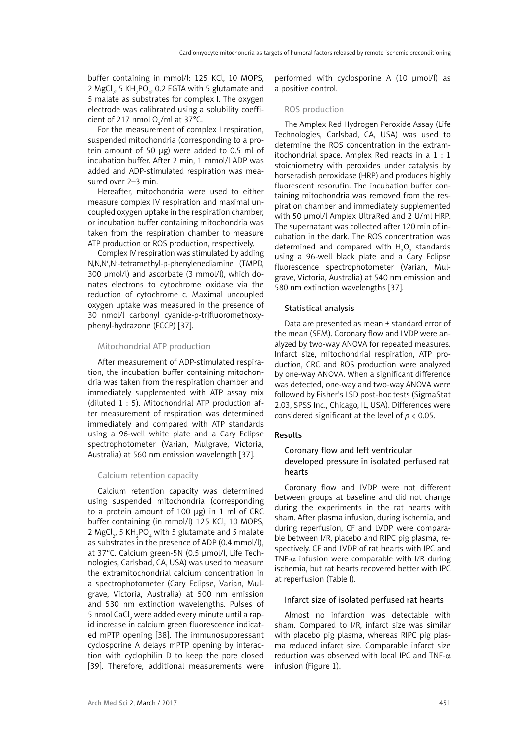buffer containing in mmol/l: 125 KCl, 10 MOPS, 2 MgCl $_2$ , 5 KH $_2$ PO $_4$ , 0.2 EGTA with 5 glutamate and 5 malate as substrates for complex I. The oxygen electrode was calibrated using a solubility coefficient of 217 nmol  $O_2$ /ml at 37°C.

For the measurement of complex I respiration, suspended mitochondria (corresponding to a protein amount of 50 µg) were added to 0.5 ml of incubation buffer. After 2 min, 1 mmol/l ADP was added and ADP-stimulated respiration was measured over 2–3 min.

Hereafter, mitochondria were used to either measure complex IV respiration and maximal uncoupled oxygen uptake in the respiration chamber, or incubation buffer containing mitochondria was taken from the respiration chamber to measure ATP production or ROS production, respectively.

Complex IV respiration was stimulated by adding N,N,N′,N′-tetramethyl-p-phenylenediamine (TMPD, 300 µmol/l) and ascorbate (3 mmol/l), which donates electrons to cytochrome oxidase via the reduction of cytochrome c. Maximal uncoupled oxygen uptake was measured in the presence of 30 nmol/l carbonyl cyanide-p-trifluoromethoxyphenyl-hydrazone (FCCP) [37].

## Mitochondrial ATP production

After measurement of ADP-stimulated respiration, the incubation buffer containing mitochondria was taken from the respiration chamber and immediately supplemented with ATP assay mix (diluted 1 : 5). Mitochondrial ATP production after measurement of respiration was determined immediately and compared with ATP standards using a 96-well white plate and a Cary Eclipse spectrophotometer (Varian, Mulgrave, Victoria, Australia) at 560 nm emission wavelength [37].

## Calcium retention capacity

Calcium retention capacity was determined using suspended mitochondria (corresponding to a protein amount of 100  $\mu$ g) in 1 ml of CRC buffer containing (in mmol/l) 125 KCl, 10 MOPS, 2 MgCl<sub>2</sub>, 5 KH<sub>2</sub>PO<sub>4</sub> with 5 glutamate and 5 malate as substrates in the presence of ADP (0.4 mmol/l), at 37°C. Calcium green-5N (0.5 µmol/l, Life Technologies, Carlsbad, CA, USA) was used to measure the extramitochondrial calcium concentration in a spectrophotometer (Cary Eclipse, Varian, Mulgrave, Victoria, Australia) at 500 nm emission and 530 nm extinction wavelengths. Pulses of 5 nmol CaCl $_2$  were added every minute until a rapid increase in calcium green fluorescence indicated mPTP opening [38]. The immunosuppressant cyclosporine A delays mPTP opening by interaction with cyclophilin D to keep the pore closed [39]. Therefore, additional measurements were

performed with cyclosporine A  $(10 \mu \text{mol/l})$  as a positive control.

## ROS production

The Amplex Red Hydrogen Peroxide Assay (Life Technologies, Carlsbad, CA, USA) was used to determine the ROS concentration in the extramitochondrial space. Amplex Red reacts in a 1 : 1 stoichiometry with peroxides under catalysis by horseradish peroxidase (HRP) and produces highly fluorescent resorufin. The incubation buffer containing mitochondria was removed from the respiration chamber and immediately supplemented with 50  $\mu$ mol/l Amplex UltraRed and 2 U/ml HRP. The supernatant was collected after 120 min of incubation in the dark. The ROS concentration was determined and compared with  $H_2O_2$  standards using a 96-well black plate and a Cary Eclipse fluorescence spectrophotometer (Varian, Mulgrave, Victoria, Australia) at 540 nm emission and 580 nm extinction wavelengths [37].

## Statistical analysis

Data are presented as mean ± standard error of the mean (SEM). Coronary flow and LVDP were analyzed by two-way ANOVA for repeated measures. Infarct size, mitochondrial respiration, ATP production, CRC and ROS production were analyzed by one-way ANOVA. When a significant difference was detected, one-way and two-way ANOVA were followed by Fisher's LSD post-hoc tests (SigmaStat 2.03, SPSS Inc., Chicago, IL, USA). Differences were considered significant at the level of *p* < 0.05.

## Results

## Coronary flow and left ventricular developed pressure in isolated perfused rat hearts

Coronary flow and LVDP were not different between groups at baseline and did not change during the experiments in the rat hearts with sham. After plasma infusion, during ischemia, and during reperfusion, CF and LVDP were comparable between I/R, placebo and RIPC pig plasma, respectively. CF and LVDP of rat hearts with IPC and TNF- $\alpha$  infusion were comparable with I/R during ischemia, but rat hearts recovered better with IPC at reperfusion (Table I).

## Infarct size of isolated perfused rat hearts

Almost no infarction was detectable with sham. Compared to I/R, infarct size was similar with placebo pig plasma, whereas RIPC pig plasma reduced infarct size. Comparable infarct size reduction was observed with local IPC and TNF-α infusion (Figure 1).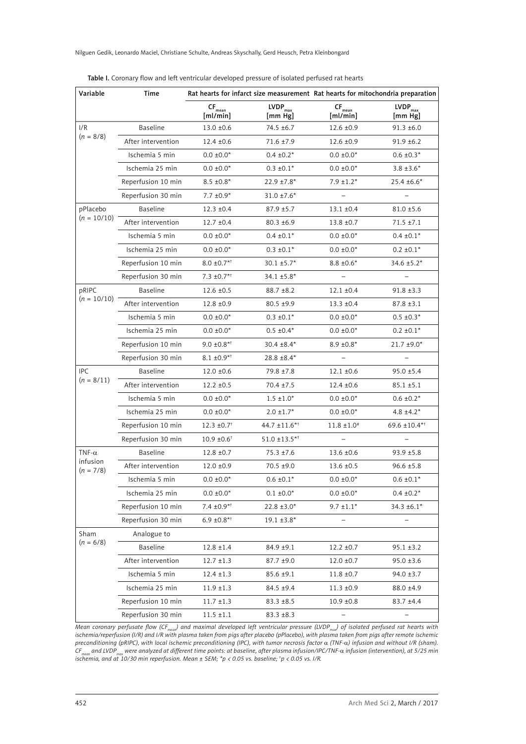| Variable                                 | Time               |                                           |                                                        | Rat hearts for infarct size measurement Rat hearts for mitochondria preparation |                                |
|------------------------------------------|--------------------|-------------------------------------------|--------------------------------------------------------|---------------------------------------------------------------------------------|--------------------------------|
|                                          |                    | $\mathsf{CF}_{\mathsf{mean}}$<br>[ml/min] | $\ensuremath{\mathsf{LVDP}_{\mathrm{max}}}$<br>[mm Hg] | $\mathsf{CF}_{\mathsf{mean}}$<br>[ml/min]                                       | LVDP <sub>max</sub><br>[mm Hg] |
| 1/R<br>$(n = 8/8)$                       | Baseline           | $13.0 \pm 0.6$                            | 74.5 ±6.7                                              | $12.6 \pm 0.9$                                                                  | $91.3 \pm 6.0$                 |
|                                          | After intervention | $12.4 \pm 0.6$                            | $71.6 \pm 7.9$                                         | $12.6 \pm 0.9$                                                                  | $91.9 \pm 6.2$                 |
|                                          | Ischemia 5 min     | $0.0 \pm 0.0^*$                           | $0.4 \pm 0.2^*$                                        | $0.0 \pm 0.0^*$                                                                 | $0.6 \pm 0.3*$                 |
|                                          | Ischemia 25 min    | $0.0 \pm 0.0*$                            | $0.3 \pm 0.1*$                                         | $0.0 \pm 0.0^*$                                                                 | $3.8 \pm 3.6*$                 |
|                                          | Reperfusion 10 min | $8.5 \pm 0.8^*$                           | $22.9 \pm 7.8^*$                                       | $7.9 \pm 1.2*$                                                                  | $25.4 \pm 6.6*$                |
|                                          | Reperfusion 30 min | 7.7 $\pm 0.9^*$                           | $31.0 \pm 7.6*$                                        |                                                                                 |                                |
| pPlacebo<br>$(n = 10/10)$                | <b>Baseline</b>    | $12.3 \pm 0.4$                            | $87.9 \pm 5.7$                                         | $13.1 \pm 0.4$                                                                  | $81.0 \pm 5.6$                 |
|                                          | After intervention | $12.7 \pm 0.4$                            | $80.3 \pm 6.9$                                         | $13.8 \pm 0.7$                                                                  | $71.5 \pm 7.1$                 |
|                                          | Ischemia 5 min     | $0.0 \pm 0.0*$                            | $0.4 \pm 0.1*$                                         | $0.0 \pm 0.0*$                                                                  | $0.4 \pm 0.1*$                 |
|                                          | Ischemia 25 min    | $0.0 \pm 0.0*$                            | $0.3 \pm 0.1^*$                                        | $0.0 \pm 0.0*$                                                                  | $0.2 \pm 0.1^*$                |
|                                          | Reperfusion 10 min | $8.0 \pm 0.7$ <sup>*1</sup>               | $30.1 \pm 5.7^*$                                       | $8.8 \pm 0.6*$                                                                  | 34.6 ±5.2*                     |
|                                          | Reperfusion 30 min | $7.3 \pm 0.7$ <sup>*1</sup>               | $34.1 \pm 5.8^*$                                       | $\overline{a}$                                                                  |                                |
| pRIPC<br>$(n = 10/10)$                   | Baseline           | $12.6 \pm 0.5$                            | $88.7 + 8.2$                                           | $12.1 \pm 0.4$                                                                  | $91.8 \pm 3.3$                 |
|                                          | After intervention | $12.8 \pm 0.9$                            | 80.5 ±9.9                                              | $13.3 \pm 0.4$                                                                  | $87.8 \pm 3.1$                 |
|                                          | Ischemia 5 min     | $0.0 \pm 0.0*$                            | $0.3 \pm 0.1*$                                         | $0.0 \pm 0.0*$                                                                  | $0.5 \pm 0.3*$                 |
|                                          | Ischemia 25 min    | $0.0 \pm 0.0^*$                           | $0.5 \pm 0.4^*$                                        | $0.0 \pm 0.0^*$                                                                 | $0.2 \pm 0.1^*$                |
|                                          | Reperfusion 10 min | $9.0 \pm 0.8**$                           | $30.4 \pm 8.4*$                                        | $8.9 \pm 0.8*$                                                                  | $21.7 \pm 9.0^*$               |
|                                          | Reperfusion 30 min | $8.1 \pm 0.9**$                           | $28.8 \pm 8.4*$                                        | $\qquad \qquad -$                                                               |                                |
| <b>IPC</b><br>$(n = 8/11)$               | Baseline           | $12.0 \pm 0.6$                            | 79.8 ±7.8                                              | $12.1 \pm 0.6$                                                                  | $95.0 \pm 5.4$                 |
|                                          | After intervention | $12.2 \pm 0.5$                            | $70.4 \pm 7.5$                                         | $12.4 \pm 0.6$                                                                  | $85.1 \pm 5.1$                 |
|                                          | Ischemia 5 min     | $0.0 \pm 0.0^*$                           | $1.5 \pm 1.0^*$                                        | $0.0 \pm 0.0^*$                                                                 | $0.6 \pm 0.2^*$                |
|                                          | Ischemia 25 min    | $0.0 \pm 0.0*$                            | $2.0 \pm 1.7$ *                                        | $0.0 \pm 0.0^*$                                                                 | $4.8 \pm 4.2^*$                |
|                                          | Reperfusion 10 min | $12.3 \pm 0.7$ <sup>†</sup>               | $44.7 \pm 11.6$ <sup>*†</sup>                          | $11.8 \pm 1.0^*$                                                                | 69.6 ±10.4* <sup>†</sup>       |
|                                          | Reperfusion 30 min | $10.9 \pm 0.6$ <sup>†</sup>               | $51.0 \pm 13.5$ **                                     |                                                                                 |                                |
| TNF- $\alpha$<br>infusion<br>$(n = 7/8)$ | Baseline           | $12.8 \pm 0.7$                            | $75.3 \pm 7.6$                                         | $13.6 \pm 0.6$                                                                  | $93.9 \pm 5.8$                 |
|                                          | After intervention | $12.0 \pm 0.9$                            | 70.5 ±9.0                                              | $13.6 \pm 0.5$                                                                  | $96.6 \pm 5.8$                 |
|                                          | Ischemia 5 min     | $0.0 \pm 0.0*$                            | $0.6 \pm 0.1*$                                         | $0.0 \pm 0.0*$                                                                  | $0.6 \pm 0.1*$                 |
|                                          | Ischemia 25 min    | $0.0 \pm 0.0^*$                           | $0.1 \pm 0.0^*$                                        | $0.0 \pm 0.0^*$                                                                 | $0.4 \pm 0.2^*$                |
|                                          | Reperfusion 10 min | $7.4 \pm 0.9**$                           | $22.8 \pm 3.0*$                                        | $9.7 \pm 1.1*$                                                                  | $34.3 \pm 6.1*$                |
|                                          | Reperfusion 30 min | $6.9 \pm 0.8$ **                          | $19.1 \pm 3.8*$                                        | $\overline{\phantom{0}}$                                                        | $\equiv$                       |
| Sham<br>$(n = 6/8)$                      | Analogue to        |                                           |                                                        |                                                                                 |                                |
|                                          | Baseline           | $12.8 \pm 1.4$                            | 84.9 ±9.1                                              | $12.2 \pm 0.7$                                                                  | $95.1 \pm 3.2$                 |
|                                          | After intervention | $12.7 \pm 1.3$                            | 87.7 ±9.0                                              | $12.0 \pm 0.7$                                                                  | $95.0 \pm 3.6$                 |
|                                          | Ischemia 5 min     | $12.4 \pm 1.3$                            | $85.6 \pm 9.1$                                         | $11.8 \pm 0.7$                                                                  | $94.0 \pm 3.7$                 |
|                                          | Ischemia 25 min    | $11.9 \pm 1.3$                            | 84.5 ±9.4                                              | $11.3 \pm 0.9$                                                                  | $88.0 \pm 4.9$                 |
|                                          | Reperfusion 10 min | $11.7 \pm 1.3$                            | $83.3 \pm 8.5$                                         | $10.9 \pm 0.8$                                                                  | $83.7 + 4.4$                   |
|                                          | Reperfusion 30 min | $11.5 \pm 1.1$                            | $83.3 \pm 8.3$                                         |                                                                                 |                                |

| Table I. Coronary flow and left ventricular developed pressure of isolated perfused rat hearts |  |
|------------------------------------------------------------------------------------------------|--|
|------------------------------------------------------------------------------------------------|--|

Mean coronary perfusate flow (CF<sub>mean</sub>) and maximal developed left ventricular pressure (LVDP<sub>max</sub>) of isolated perfused rat hearts with<br>ischemia/reperfusion (I/R) and I/R with plasma taken from pigs after placebo (pPlaceb *preconditioning (pRIPC), with local ischemic preconditioning (IPC), with tumor necrosis factor* α *(TNF-*α*) infusion and without I/R (sham).*  CF<sub>mean</sub> and LVDP<sub>max</sub> were analyzed at different time points: at baseline, after plasma infusion/IPC/TNF-α infusion (intervention), at 5/25 min<br>ischemia, and at 10/30 min reperfusion. Mean ± SEM; \*p < 0.05 vs. baseline;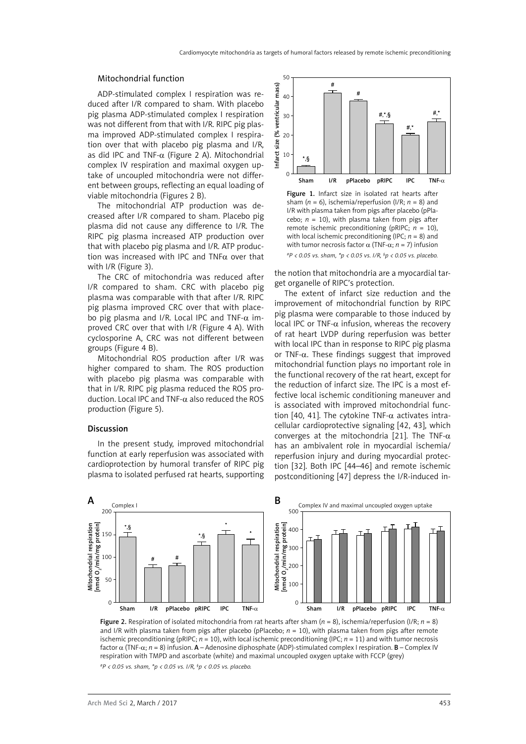#### Mitochondrial function

ADP-stimulated complex I respiration was reduced after I/R compared to sham. With placebo pig plasma ADP-stimulated complex I respiration was not different from that with I/R. RIPC pig plasma improved ADP-stimulated complex I respiration over that with placebo pig plasma and I/R, as did IPC and TNF- $\alpha$  (Figure 2 A). Mitochondrial complex IV respiration and maximal oxygen uptake of uncoupled mitochondria were not different between groups, reflecting an equal loading of viable mitochondria (Figures 2 B).

The mitochondrial ATP production was decreased after I/R compared to sham. Placebo pig plasma did not cause any difference to I/R. The RIPC pig plasma increased ATP production over that with placebo pig plasma and I/R. ATP production was increased with IPC and TNF $\alpha$  over that with I/R (Figure 3).

The CRC of mitochondria was reduced after I/R compared to sham. CRC with placebo pig plasma was comparable with that after I/R. RIPC pig plasma improved CRC over that with placebo pig plasma and I/R. Local IPC and TNF- $\alpha$  improved CRC over that with I/R (Figure 4 A). With cyclosporine A, CRC was not different between groups (Figure 4 B).

Mitochondrial ROS production after I/R was higher compared to sham. The ROS production with placebo pig plasma was comparable with that in I/R. RIPC pig plasma reduced the ROS production. Local IPC and TNF- $\alpha$  also reduced the ROS production (Figure 5).

#### Discussion

In the present study, improved mitochondrial function at early reperfusion was associated with cardioprotection by humoral transfer of RIPC pig plasma to isolated perfused rat hearts, supporting



Figure 1. Infarct size in isolated rat hearts after sham (*n* = 6), ischemia/reperfusion (I/R; *n* = 8) and I/R with plasma taken from pigs after placebo (pPlacebo;  $n = 10$ ), with plasma taken from pigs after remote ischemic preconditioning (pRIPC; *n* = 10), with local ischemic preconditioning (IPC; *n* = 8) and with tumor necrosis factor α (TNF-α; *n* = 7) infusion *#P < 0.05 vs. sham, \*p < 0.05 vs. I/R, § p < 0.05 vs. placebo.*

the notion that mitochondria are a myocardial target organelle of RIPC's protection.

The extent of infarct size reduction and the improvement of mitochondrial function by RIPC pig plasma were comparable to those induced by local IPC or TNF-α infusion, whereas the recovery of rat heart LVDP during reperfusion was better with local IPC than in response to RIPC pig plasma or TNF- $\alpha$ . These findings suggest that improved mitochondrial function plays no important role in the functional recovery of the rat heart, except for the reduction of infarct size. The IPC is a most effective local ischemic conditioning maneuver and is associated with improved mitochondrial function [40, 41]. The cytokine TNF- $\alpha$  activates intracellular cardioprotective signaling [42, 43], which converges at the mitochondria [21]. The TNF- $\alpha$ has an ambivalent role in myocardial ischemia/ reperfusion injury and during myocardial protection [32]. Both IPC [44–46] and remote ischemic postconditioning [47] depress the I/R-induced in-



Figure 2. Respiration of isolated mitochondria from rat hearts after sham (*n* = 8), ischemia/reperfusion (I/R; *n* = 8) and I/R with plasma taken from pigs after placebo (pPlacebo; *n* = 10), with plasma taken from pigs after remote ischemic preconditioning (pRIPC;  $n = 10$ ), with local ischemic preconditioning (IPC;  $n = 11$ ) and with tumor necrosis factor α (TNF-α; *n* = 8) infusion. A – Adenosine diphosphate (ADP)-stimulated complex I respiration. B – Complex IV respiration with TMPD and ascorbate (white) and maximal uncoupled oxygen uptake with FCCP (grey) *#P < 0.05 vs. sham, \*p < 0.05 vs. I/R, § p < 0.05 vs. placebo.*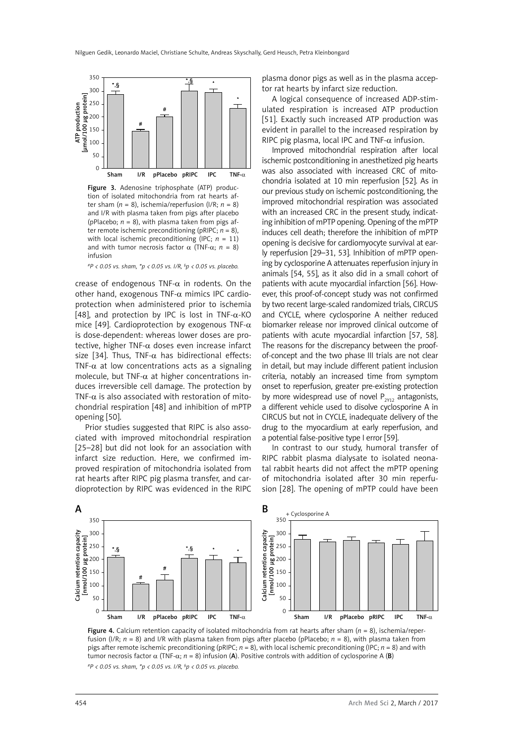

Figure 3. Adenosine triphosphate (ATP) production of isolated mitochondria from rat hearts after sham  $(n = 8)$ , ischemia/reperfusion  $(1/R; n = 8)$ and I/R with plasma taken from pigs after placebo (pPlacebo;  $n = 8$ ), with plasma taken from pigs after remote ischemic preconditioning (pRIPC; *n* = 8), with local ischemic preconditioning (IPC; *n* = 11) and with tumor necrosis factor  $\alpha$  (TNF- $\alpha$ ;  $n = 8$ ) infusion

*#P < 0.05 vs. sham, \*p < 0.05 vs. I/R, § p < 0.05 vs. placebo.*

crease of endogenous TNF- $\alpha$  in rodents. On the other hand, exogenous TNF- $\alpha$  mimics IPC cardioprotection when administered prior to ischemia [48], and protection by IPC is lost in TNF- $\alpha$ -KO mice [49]. Cardioprotection by exogenous TNF- $\alpha$ is dose-dependent: whereas lower doses are protective, higher TNF- $\alpha$  doses even increase infarct size [34]. Thus, TNF- $\alpha$  has bidirectional effects: TNF- $\alpha$  at low concentrations acts as a signaling molecule, but TNF- $\alpha$  at higher concentrations induces irreversible cell damage. The protection by TNF- $\alpha$  is also associated with restoration of mitochondrial respiration [48] and inhibition of mPTP opening [50].

Prior studies suggested that RIPC is also associated with improved mitochondrial respiration [25–28] but did not look for an association with infarct size reduction. Here, we confirmed improved respiration of mitochondria isolated from rat hearts after RIPC pig plasma transfer, and cardioprotection by RIPC was evidenced in the RIPC plasma donor pigs as well as in the plasma acceptor rat hearts by infarct size reduction.

A logical consequence of increased ADP-stimulated respiration is increased ATP production [51]. Exactly such increased ATP production was evident in parallel to the increased respiration by RIPC pig plasma, local IPC and TNF- $\alpha$  infusion.

Improved mitochondrial respiration after local ischemic postconditioning in anesthetized pig hearts was also associated with increased CRC of mitochondria isolated at 10 min reperfusion [52]. As in our previous study on ischemic postconditioning, the improved mitochondrial respiration was associated with an increased CRC in the present study, indicating inhibition of mPTP opening. Opening of the mPTP induces cell death; therefore the inhibition of mPTP opening is decisive for cardiomyocyte survival at early reperfusion [29–31, 53]. Inhibition of mPTP opening by cyclosporine A attenuates reperfusion injury in animals [54, 55], as it also did in a small cohort of patients with acute myocardial infarction [56]. However, this proof-of-concept study was not confirmed by two recent large-scaled randomized trials, CIRCUS and CYCLE, where cyclosporine A neither reduced biomarker release nor improved clinical outcome of patients with acute myocardial infarction [57, 58]. The reasons for the discrepancy between the proofof-concept and the two phase III trials are not clear in detail, but may include different patient inclusion criteria, notably an increased time from symptom onset to reperfusion, greater pre-existing protection by more widespread use of novel  $P_{\gamma_{12}}$  antagonists, a different vehicle used to disolve cyclosporine A in CIRCUS but not in CYCLE, inadequate delivery of the drug to the myocardium at early reperfusion, and a potential false-positive type I error [59].

In contrast to our study, humoral transfer of RIPC rabbit plasma dialysate to isolated neonatal rabbit hearts did not affect the mPTP opening of mitochondria isolated after 30 min reperfusion [28]. The opening of mPTP could have been



Figure 4. Calcium retention capacity of isolated mitochondria from rat hearts after sham (*n* = 8), ischemia/reperfusion (I/R; *n* = 8) and I/R with plasma taken from pigs after placebo (pPlacebo; *n* = 8), with plasma taken from pigs after remote ischemic preconditioning (pRIPC; *n* = 8), with local ischemic preconditioning (IPC; *n* = 8) and with tumor necrosis factor α (TNF-α; *n* = 8) infusion (A). Positive controls with addition of cyclosporine A (B) *#P < 0.05 vs. sham, \*p < 0.05 vs. I/R, § p < 0.05 vs. placebo.*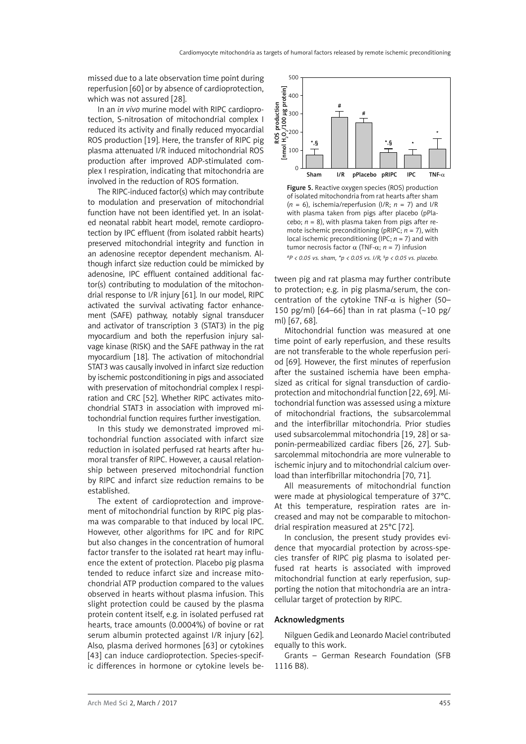missed due to a late observation time point during reperfusion [60] or by absence of cardioprotection, which was not assured [28].

In an *in vivo* murine model with RIPC cardioprotection, S-nitrosation of mitochondrial complex I reduced its activity and finally reduced myocardial ROS production [19]. Here, the transfer of RIPC pig plasma attenuated I/R induced mitochondrial ROS production after improved ADP-stimulated complex I respiration, indicating that mitochondria are involved in the reduction of ROS formation.

The RIPC-induced factor(s) which may contribute to modulation and preservation of mitochondrial function have not been identified yet. In an isolated neonatal rabbit heart model, remote cardioprotection by IPC effluent (from isolated rabbit hearts) preserved mitochondrial integrity and function in an adenosine receptor dependent mechanism. Although infarct size reduction could be mimicked by adenosine, IPC effluent contained additional factor(s) contributing to modulation of the mitochondrial response to I/R injury [61]. In our model, RIPC activated the survival activating factor enhancement (SAFE) pathway, notably signal transducer and activator of transcription 3 (STAT3) in the pig myocardium and both the reperfusion injury salvage kinase (RISK) and the SAFE pathway in the rat myocardium [18]. The activation of mitochondrial STAT3 was causally involved in infarct size reduction by ischemic postconditioning in pigs and associated with preservation of mitochondrial complex I respiration and CRC [52]. Whether RIPC activates mitochondrial STAT3 in association with improved mitochondrial function requires further investigation.

In this study we demonstrated improved mitochondrial function associated with infarct size reduction in isolated perfused rat hearts after humoral transfer of RIPC. However, a causal relationship between preserved mitochondrial function by RIPC and infarct size reduction remains to be established.

The extent of cardioprotection and improvement of mitochondrial function by RIPC pig plasma was comparable to that induced by local IPC. However, other algorithms for IPC and for RIPC but also changes in the concentration of humoral factor transfer to the isolated rat heart may influence the extent of protection. Placebo pig plasma tended to reduce infarct size and increase mitochondrial ATP production compared to the values observed in hearts without plasma infusion. This slight protection could be caused by the plasma protein content itself, e.g. in isolated perfused rat hearts, trace amounts (0.0004%) of bovine or rat serum albumin protected against I/R injury [62]. Also, plasma derived hormones [63] or cytokines [43] can induce cardioprotection. Species-specific differences in hormone or cytokine levels be-



Figure 5. Reactive oxygen species (ROS) production of isolated mitochondria from rat hearts after sham (*n* = 6), ischemia/reperfusion (I/R; *n* = 7) and I/R with plasma taken from pigs after placebo (pPlacebo;  $n = 8$ ), with plasma taken from pigs after remote ischemic preconditioning (pRIPC;  $n = 7$ ), with local ischemic preconditioning (IPC;  $n = 7$ ) and with tumor necrosis factor α (TNF-α; *n* = 7) infusion *#P < 0.05 vs. sham, \*p < 0.05 vs. I/R, § p < 0.05 vs. placebo.*

tween pig and rat plasma may further contribute to protection; e.g. in pig plasma/serum, the concentration of the cytokine TNF- $\alpha$  is higher (50– 150 pg/ml)  $[64–66]$  than in rat plasma  $(-10 \text{ pg})$ ml) [67, 68].

Mitochondrial function was measured at one time point of early reperfusion, and these results are not transferable to the whole reperfusion period [69]. However, the first minutes of reperfusion after the sustained ischemia have been emphasized as critical for signal transduction of cardioprotection and mitochondrial function [22, 69]. Mitochondrial function was assessed using a mixture of mitochondrial fractions, the subsarcolemmal and the interfibrillar mitochondria. Prior studies used subsarcolemmal mitochondria [19, 28] or saponin-permeabilized cardiac fibers [26, 27]. Subsarcolemmal mitochondria are more vulnerable to ischemic injury and to mitochondrial calcium overload than interfibrillar mitochondria [70, 71].

All measurements of mitochondrial function were made at physiological temperature of 37°C. At this temperature, respiration rates are increased and may not be comparable to mitochondrial respiration measured at 25°C [72].

In conclusion, the present study provides evidence that myocardial protection by across-species transfer of RIPC pig plasma to isolated perfused rat hearts is associated with improved mitochondrial function at early reperfusion, supporting the notion that mitochondria are an intracellular target of protection by RIPC.

#### Acknowledgments

Nilguen Gedikand Leonardo Maciel contributed equally to this work.

Grants – German Research Foundation (SFB 1116 B8).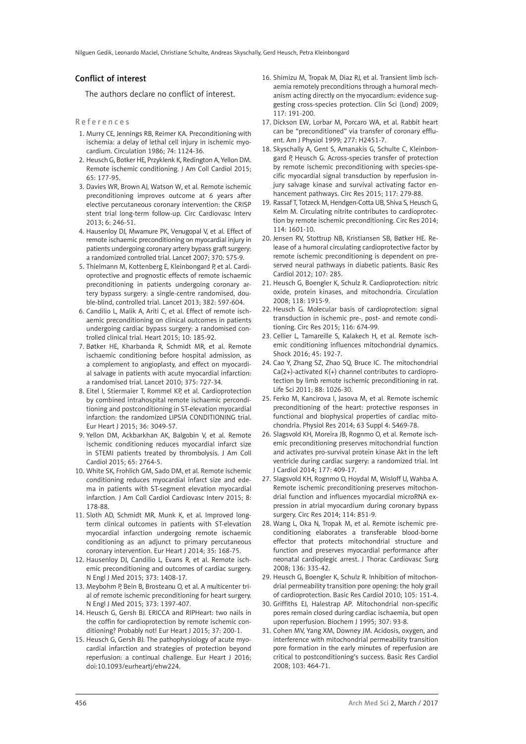#### Conflict of interest

The authors declare no conflict of interest.

#### References

- 1. Murry CE, Jennings RB, Reimer KA. Preconditioning with ischemia: a delay of lethal cell injury in ischemic myocardium. Circulation 1986; 74: 1124-36.
- 2. Heusch G, Botker HE, Przyklenk K, Redington A, Yellon DM. Remote ischemic conditioning. J Am Coll Cardiol 2015; 65: 177-95.
- 3. Davies WR, Brown AJ, Watson W, et al. Remote ischemic preconditioning improves outcome at 6 years after elective percutaneous coronary intervention: the CRISP stent trial long-term follow-up. Circ Cardiovasc Interv 2013; 6: 246-51.
- 4. Hausenloy DJ, Mwamure PK, Venugopal V, et al. Effect of remote ischaemic preconditioning on myocardial injury in patients undergoing coronary artery bypass graft surgery: a randomized controlled trial. Lancet 2007; 370: 575-9.
- 5. Thielmann M, Kottenberg E, Kleinbongard P, et al. Cardioprotective and prognostic effects of remote ischaemic preconditioning in patients undergoing coronary artery bypass surgery: a single-centre randomised, double-blind, controlled trial. Lancet 2013; 382: 597-604.
- 6. Candilio L, Malik A, Ariti C, et al. Effect of remote ischaemic preconditioning on clinical outcomes in patients undergoing cardiac bypass surgery: a randomised controlled clinical trial. Heart 2015; 10: 185-92.
- 7. Bøtker HE, Kharbanda R, Schmidt MR, et al. Remote ischaemic conditioning before hospital admission, as a complement to angioplasty, and effect on myocardial salvage in patients with acute myocardial infarction: a randomised trial. Lancet 2010; 375: 727-34.
- 8. Eitel I, Stiermaier T, Rommel KP, et al. Cardioprotection by combined intrahospital remote ischaemic perconditioning and postconditioning in ST-elevation myocardial infarction: the randomized LIPSIA CONDITIONING trial. Eur Heart J 2015; 36: 3049-57.
- 9. Yellon DM, Ackbarkhan AK, Balgobin V, et al. Remote ischemic conditioning reduces myocardial infarct size in STEMI patients treated by thrombolysis. J Am Coll Cardiol 2015; 65: 2764-5.
- 10. White SK, Frohlich GM, Sado DM, et al. Remote ischemic conditioning reduces myocardial infarct size and edema in patients with ST-segment elevation myocardial infarction. J Am Coll Cardiol Cardiovasc Interv 2015; 8: 178-88.
- 11. Sloth AD, Schmidt MR, Munk K, et al. Improved longterm clinical outcomes in patients with ST-elevation myocardial infarction undergoing remote ischaemic conditioning as an adjunct to primary percutaneous coronary intervention. Eur Heart J 2014; 35: 168-75.
- 12. Hausenloy DJ, Candilio L, Evans R, et al. Remote ischemic preconditioning and outcomes of cardiac surgery. N Engl J Med 2015; 373: 1408-17.
- 13. Meybohm P, Bein B, Brosteanu O, et al. A multicenter trial of remote ischemic preconditioning for heart surgery. N Engl J Med 2015; 373: 1397-407.
- 14. Heusch G, Gersh BJ. ERICCA and RIPHeart: two nails in the coffin for cardioprotection by remote ischemic conditioning? Probably not! Eur Heart J 2015; 37: 200-1.
- 15. Heusch G, Gersh BJ. The pathophysiology of acute myocardial infarction and strategies of protection beyond reperfusion: a continual challenge. Eur Heart J 2016; doi:10.1093/eurheartj/ehw224.
- 16. Shimizu M, Tropak M, Diaz RJ, et al. Transient limb ischaemia remotely preconditions through a humoral mechanism acting directly on the myocardium: evidence suggesting cross-species protection. Clin Sci (Lond) 2009; 117: 191-200.
- 17. Dickson EW, Lorbar M, Porcaro WA, et al. Rabbit heart can be "preconditioned" via transfer of coronary effluent. Am J Physiol 1999; 277: H2451-7.
- 18. Skyschally A, Gent S, Amanakis G, Schulte C, Kleinbongard P, Heusch G. Across-species transfer of protection by remote ischemic preconditioning with species-specific myocardial signal transduction by reperfusion injury salvage kinase and survival activating factor enhancement pathways. Circ Res 2015; 117: 279-88.
- 19. Rassaf T, Totzeck M, Hendgen-Cotta UB, Shiva S, Heusch G, Kelm M. Circulating nitrite contributes to cardioprotection by remote ischemic preconditioning. Circ Res 2014; 114: 1601-10.
- 20. Jensen RV, Stottrup NB, Kristiansen SB, Bøtker HE. Release of a humoral circulating cardioprotective factor by remote ischemic preconditioning is dependent on preserved neural pathways in diabetic patients. Basic Res Cardiol 2012; 107: 285.
- 21. Heusch G, Boengler K, Schulz R. Cardioprotection: nitric oxide, protein kinases, and mitochondria. Circulation 2008; 118: 1915-9.
- 22. Heusch G. Molecular basis of cardioprotection: signal transduction in ischemic pre-, post- and remote conditioning. Circ Res 2015; 116: 674-99.
- 23. Cellier L, Tamareille S, Kalakech H, et al. Remote ischemic conditioning influences mitochondrial dynamics. Shock 2016; 45: 192-7.
- 24. Cao Y, Zhang SZ, Zhao SQ, Bruce IC. The mitochondrial Ca(2+)-activated K(+) channel contributes to cardioprotection by limb remote ischemic preconditioning in rat. Life Sci 2011; 88: 1026-30.
- 25. Ferko M, Kancirova I, Jasova M, et al. Remote ischemic preconditioning of the heart: protective responses in functional and biophysical properties of cardiac mitochondria. Physiol Res 2014; 63 Suppl 4: S469-78.
- 26. Slagsvold KH, Moreira JB, Rognmo O, et al. Remote ischemic preconditioning preserves mitochondrial function and activates pro-survival protein kinase Akt in the left ventricle during cardiac surgery: a randomized trial. Int J Cardiol 2014; 177: 409-17.
- 27. Slagsvold KH, Rognmo O, Hoydal M, Wisloff U, Wahba A. Remote ischemic preconditioning preserves mitochondrial function and influences myocardial microRNA expression in atrial myocardium during coronary bypass surgery. Circ Res 2014; 114: 851-9.
- 28. Wang L, Oka N, Tropak M, et al. Remote ischemic preconditioning elaborates a transferable blood-borne effector that protects mitochondrial structure and function and preserves myocardial performance after neonatal cardioplegic arrest. J Thorac Cardiovasc Surg 2008; 136: 335-42.
- 29. Heusch G, Boengler K, Schulz R. Inhibition of mitochondrial permeability transition pore opening: the holy grail of cardioprotection. Basic Res Cardiol 2010; 105: 151-4.
- 30. Griffiths EJ, Halestrap AP. Mitochondrial non-specific pores remain closed during cardiac ischaemia, but open upon reperfusion. Biochem J 1995; 307: 93-8.
- 31. Cohen MV, Yang XM, Downey JM. Acidosis, oxygen, and interference with mitochondrial permeability transition pore formation in the early minutes of reperfusion are critical to postconditioning's success. Basic Res Cardiol 2008; 103: 464-71.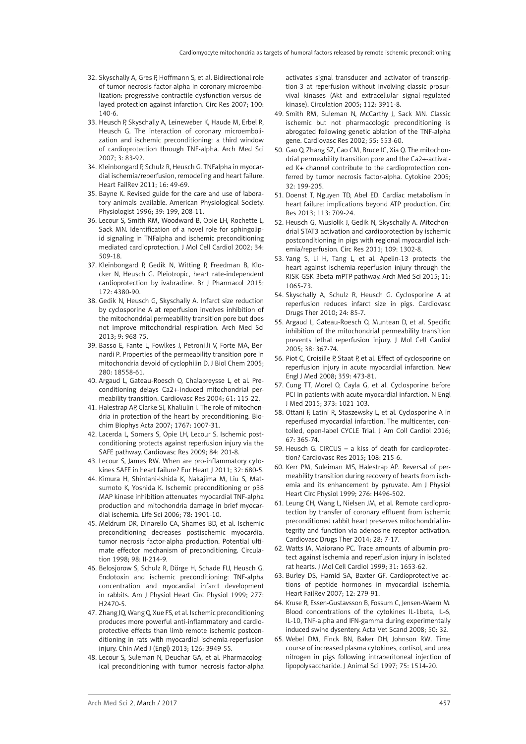- 32. Skyschally A, Gres P, Hoffmann S, et al. Bidirectional role of tumor necrosis factor-alpha in coronary microembolization: progressive contractile dysfunction versus delayed protection against infarction. Circ Res 2007; 100: 140-6.
- 33. Heusch P, Skyschally A, Leineweber K, Haude M, Erbel R, Heusch G. The interaction of coronary microembolization and ischemic preconditioning: a third window of cardioprotection through TNF-alpha. Arch Med Sci 2007; 3: 83-92.
- 34. Kleinbongard P, Schulz R, Heusch G. TNFalpha in myocardial ischemia/reperfusion, remodeling and heart failure. Heart FailRev 2011; 16: 49-69.
- 35. Bayne K. Revised guide for the care and use of laboratory animals available. American Physiological Society. Physiologist 1996; 39: 199, 208-11.
- 36. Lecour S, Smith RM, Woodward B, Opie LH, Rochette L, Sack MN. Identification of a novel role for sphingolipid signaling in TNFalpha and ischemic preconditioning mediated cardioprotection. J Mol Cell Cardiol 2002; 34: 509-18.
- 37. Kleinbongard P, Gedik N, Witting P, Freedman B, Klocker N, Heusch G. Pleiotropic, heart rate-independent cardioprotection by ivabradine. Br J Pharmacol 2015; 172: 4380-90.
- 38. Gedik N, Heusch G, Skyschally A. Infarct size reduction by cyclosporine A at reperfusion involves inhibition of the mitochondrial permeability transition pore but does not improve mitochondrial respiration. Arch Med Sci 2013; 9: 968-75.
- 39. Basso E, Fante L, Fowlkes J, Petronilli V, Forte MA, Bernardi P. Properties of the permeability transition pore in mitochondria devoid of cyclophilin D. J Biol Chem 2005; 280: 18558-61.
- 40. Argaud L, Gateau-Roesch O, Chalabreysse L, et al. Preconditioning delays Ca2+-induced mitochondrial permeability transition. Cardiovasc Res 2004; 61: 115-22.
- 41. Halestrap AP, Clarke SJ, Khaliulin I. The role of mitochondria in protection of the heart by preconditioning. Biochim Biophys Acta 2007; 1767: 1007-31.
- 42. Lacerda L, Somers S, Opie LH, Lecour S. Ischemic postconditioning protects against reperfusion injury via the SAFE pathway. Cardiovasc Res 2009; 84: 201-8.
- 43. Lecour S, James RW. When are pro-inflammatory cytokines SAFE in heart failure? Eur Heart J 2011; 32: 680-5.
- 44. Kimura H, Shintani-Ishida K, Nakajima M, Liu S, Matsumoto K, Yoshida K. Ischemic preconditioning or p38 MAP kinase inhibition attenuates myocardial TNF-alpha production and mitochondria damage in brief myocardial ischemia. Life Sci 2006; 78: 1901-10.
- 45. Meldrum DR, Dinarello CA, Shames BD, et al. Ischemic preconditioning decreases postischemic myocardial tumor necrosis factor-alpha production. Potential ultimate effector mechanism of preconditioning. Circulation 1998; 98: II-214-9.
- 46. Belosjorow S, Schulz R, Dörge H, Schade FU, Heusch G. Endotoxin and ischemic preconditioning: TNF-alpha concentration and myocardial infarct development in rabbits. Am J Physiol Heart Circ Physiol 1999; 277: H2470-5.
- 47. Zhang JQ, Wang Q, Xue FS, et al. Ischemic preconditioning produces more powerful anti-inflammatory and cardioprotective effects than limb remote ischemic postconditioning in rats with myocardial ischemia-reperfusion injury. Chin Med J (Engl) 2013; 126: 3949-55.
- 48. Lecour S, Suleman N, Deuchar GA, et al. Pharmacological preconditioning with tumor necrosis factor-alpha

activates signal transducer and activator of transcription-3 at reperfusion without involving classic prosurvival kinases (Akt and extracellular signal-regulated kinase). Circulation 2005; 112: 3911-8.

- 49. Smith RM, Suleman N, McCarthy J, Sack MN. Classic ischemic but not pharmacologic preconditioning is abrogated following genetic ablation of the TNF-alpha gene. Cardiovasc Res 2002; 55: 553-60.
- 50. Gao Q, Zhang SZ, Cao CM, Bruce IC, Xia Q. The mitochondrial permeability transition pore and the Ca2+-activated K+ channel contribute to the cardioprotection conferred by tumor necrosis factor-alpha. Cytokine 2005; 32: 199-205.
- 51. Doenst T, Nguyen TD, Abel ED. Cardiac metabolism in heart failure: implications beyond ATP production. Circ Res 2013; 113: 709-24.
- 52. Heusch G, Musiolik J, Gedik N, Skyschally A. Mitochondrial STAT3 activation and cardioprotection by ischemic postconditioning in pigs with regional myocardial ischemia/reperfusion. Circ Res 2011; 109: 1302-8.
- 53. Yang S, Li H, Tang L, et al. Apelin-13 protects the heart against ischemia-reperfusion injury through the RISK-GSK-3beta-mPTP pathway. Arch Med Sci 2015; 11: 1065-73.
- 54. Skyschally A, Schulz R, Heusch G. Cyclosporine A at reperfusion reduces infarct size in pigs. Cardiovasc Drugs Ther 2010; 24: 85-7.
- 55. Argaud L, Gateau-Roesch O, Muntean D, et al. Specific inhibition of the mitochondrial permeability transition prevents lethal reperfusion injury. J Mol Cell Cardiol 2005; 38: 367-74.
- 56. Piot C, Croisille P, Staat P, et al. Effect of cyclosporine on reperfusion injury in acute myocardial infarction. New Engl J Med 2008; 359: 473-81.
- 57. Cung TT, Morel O, Cayla G, et al. Cyclosporine before PCI in patients with acute myocardial infarction. N Engl J Med 2015; 373: 1021-103.
- 58. Ottani F, Latini R, Staszewsky L, et al. Cyclosporine A in reperfused myocardial infarction. The multicenter, contolled, open-label CYCLE Trial. J Am Coll Cardiol 2016; 67: 365-74.
- 59. Heusch G. CIRCUS a kiss of death for cardioprotection? Cardiovasc Res 2015; 108: 215-6.
- 60. Kerr PM, Suleiman MS, Halestrap AP. Reversal of permeability transition during recovery of hearts from ischemia and its enhancement by pyruvate. Am J Physiol Heart Circ Physiol 1999; 276: H496-502.
- 61. Leung CH, Wang L, Nielsen JM, et al. Remote cardioprotection by transfer of coronary effluent from ischemic preconditioned rabbit heart preserves mitochondrial integrity and function via adenosine receptor activation. Cardiovasc Drugs Ther 2014; 28: 7-17.
- 62. Watts JA, Maiorano PC. Trace amounts of albumin protect against ischemia and reperfusion injury in isolated rat hearts. J Mol Cell Cardiol 1999; 31: 1653-62.
- 63. Burley DS, Hamid SA, Baxter GF. Cardioprotective actions of peptide hormones in myocardial ischemia. Heart FailRev 2007; 12: 279-91.
- 64. Kruse R, Essen-Gustavsson B, Fossum C, Jensen-Waern M. Blood concentrations of the cytokines IL-1beta, IL-6, IL-10, TNF-alpha and IFN-gamma during experimentally induced swine dysentery. Acta Vet Scand 2008; 50: 32.
- 65. Webel DM, Finck BN, Baker DH, Johnson RW. Time course of increased plasma cytokines, cortisol, and urea nitrogen in pigs following intraperitoneal injection of lipopolysaccharide. J Animal Sci 1997; 75: 1514-20.